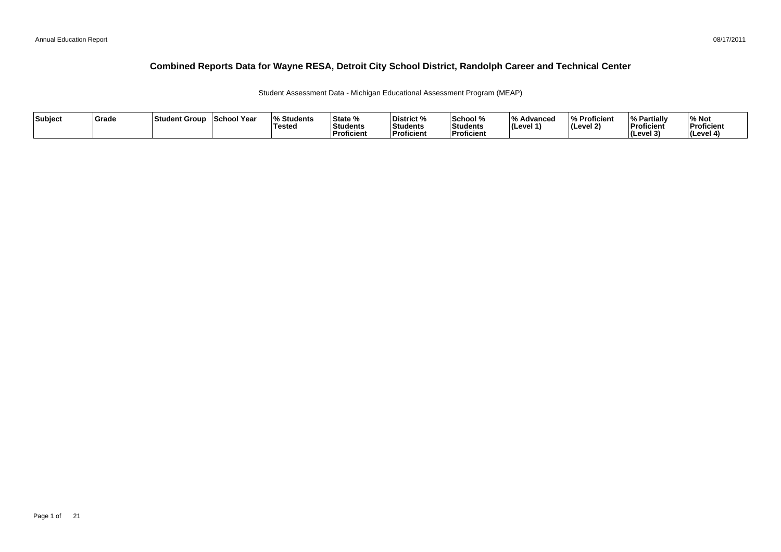#### 08/17/2011

#### **Combined Reports Data for Wayne RESA, Detroit City School District, Randolph Career and Technical Center**

Student Assessment Data - Michigan Educational Assessment Program (MEAP)

| Subject | <b>Grade</b> | Student Group | School Year | <b>Students</b> l%<br><b>Tested</b> | State %<br>Students<br><b>Proficient</b> | District %<br>Students<br><b>Proficient</b> | School %<br>'Students<br><b>Proficien</b> | ΙО.<br>Advanced<br>∣(Level 1 | % Proficient<br>l (Level 2) | <b>Partially</b><br>Proficient<br>(Level 3) | % Not<br>Proficient<br>l (Level |
|---------|--------------|---------------|-------------|-------------------------------------|------------------------------------------|---------------------------------------------|-------------------------------------------|------------------------------|-----------------------------|---------------------------------------------|---------------------------------|
|---------|--------------|---------------|-------------|-------------------------------------|------------------------------------------|---------------------------------------------|-------------------------------------------|------------------------------|-----------------------------|---------------------------------------------|---------------------------------|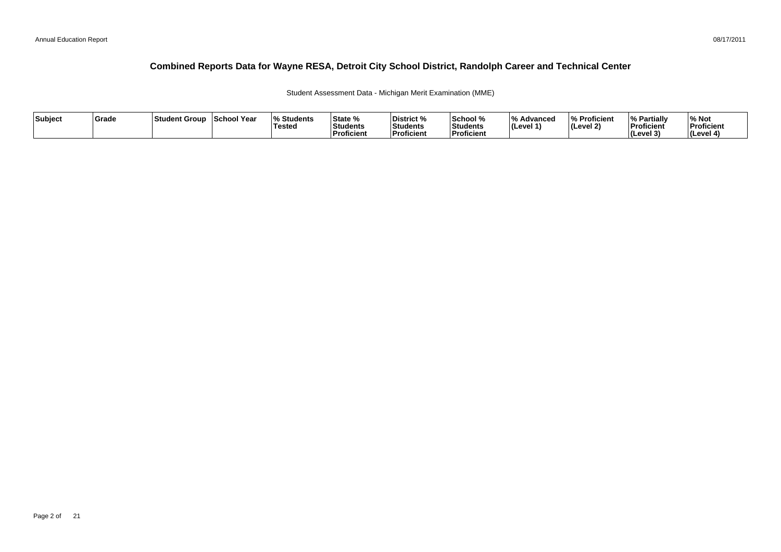#### 08/17/2011

#### **Combined Reports Data for Wayne RESA, Detroit City School District, Randolph Career and Technical Center**

Student Assessment Data - Michigan Merit Examination (MME)

| Subject | Grade | ⊺Student Group | School Year | <b>Students</b> l%<br><b>Tested</b> | State %<br><b>Students</b><br><b>Proficient</b> | District %<br><b>Students</b><br>Proficient | School %<br>Students<br><b>Proficien</b> | 1 O /<br><i>/</i> ∘ Advanced<br>∣(Level 1' | % Proficient<br>$ $ (Level 2) | <sup>1</sup> % Partiali<br>Proficient<br>$ $ (Level $3$ | % Not<br>Proficient<br>(Level 4) |
|---------|-------|----------------|-------------|-------------------------------------|-------------------------------------------------|---------------------------------------------|------------------------------------------|--------------------------------------------|-------------------------------|---------------------------------------------------------|----------------------------------|
|---------|-------|----------------|-------------|-------------------------------------|-------------------------------------------------|---------------------------------------------|------------------------------------------|--------------------------------------------|-------------------------------|---------------------------------------------------------|----------------------------------|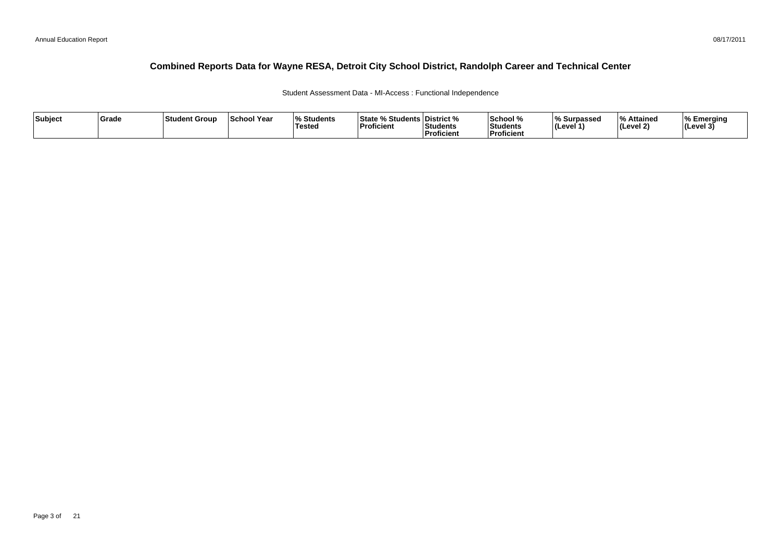Student Assessment Data - MI-Access : Functional Independence

| Subject | Grade | <b>Student Group</b> | School Year | <b>Students</b><br>Tested | State % Students District %<br>Proficient | <b>Students</b><br><b>Proficient</b> | School %<br>l Students<br>.<br><b>Proficient</b> | Surpassed<br>(Level 1) | l 0/<br><b>Attained</b><br>(Level 2) | ا Emerging<br>$ $ (Level 3 <sup>'</sup> |
|---------|-------|----------------------|-------------|---------------------------|-------------------------------------------|--------------------------------------|--------------------------------------------------|------------------------|--------------------------------------|-----------------------------------------|
|---------|-------|----------------------|-------------|---------------------------|-------------------------------------------|--------------------------------------|--------------------------------------------------|------------------------|--------------------------------------|-----------------------------------------|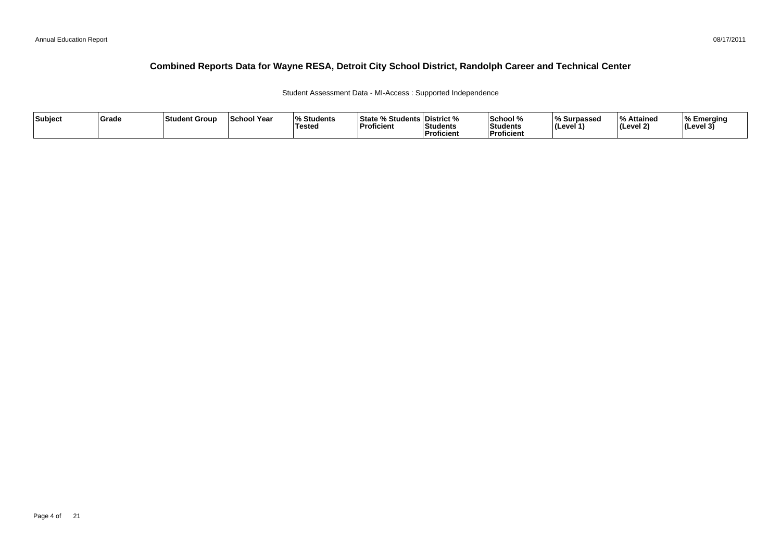Student Assessment Data - MI-Access : Supported Independence

| Subject | Grade | <b>Student Group</b> | School Year | <b>Students</b><br>Tested | State % Students District %<br>Proficient | <b>Students</b><br><b>Proficient</b> | School %<br>l Students<br>.<br><b>Proficient</b> | Surpassed<br>(Level 1) | l 0/<br><b>Attained</b><br>(Level 2) | ا Emerging<br>$ $ (Level 3 <sup>'</sup> |
|---------|-------|----------------------|-------------|---------------------------|-------------------------------------------|--------------------------------------|--------------------------------------------------|------------------------|--------------------------------------|-----------------------------------------|
|---------|-------|----------------------|-------------|---------------------------|-------------------------------------------|--------------------------------------|--------------------------------------------------|------------------------|--------------------------------------|-----------------------------------------|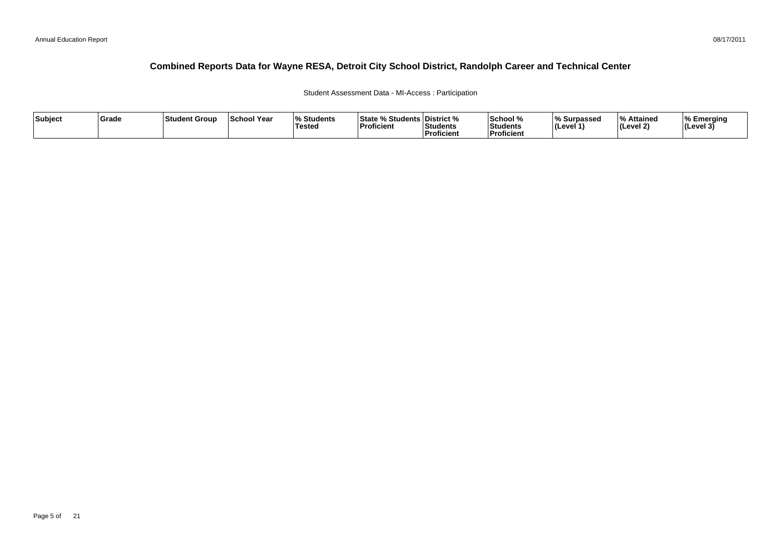Student Assessment Data - MI-Access : Participation

| Subject | Grade | <b>Student Group</b> | School Year | <b>Students</b><br>Tested | <b>State % Students District %</b><br>Proficient | <b>Students</b><br><b>Proficient</b> | 'School %<br><b>Students</b><br>Proficient | Surpassed<br>ILevel 1 | l 0/<br><b>Attained</b><br>(Level 2) | ا Emerging<br>$ $ (Level 3 <sup>'</sup> |
|---------|-------|----------------------|-------------|---------------------------|--------------------------------------------------|--------------------------------------|--------------------------------------------|-----------------------|--------------------------------------|-----------------------------------------|
|---------|-------|----------------------|-------------|---------------------------|--------------------------------------------------|--------------------------------------|--------------------------------------------|-----------------------|--------------------------------------|-----------------------------------------|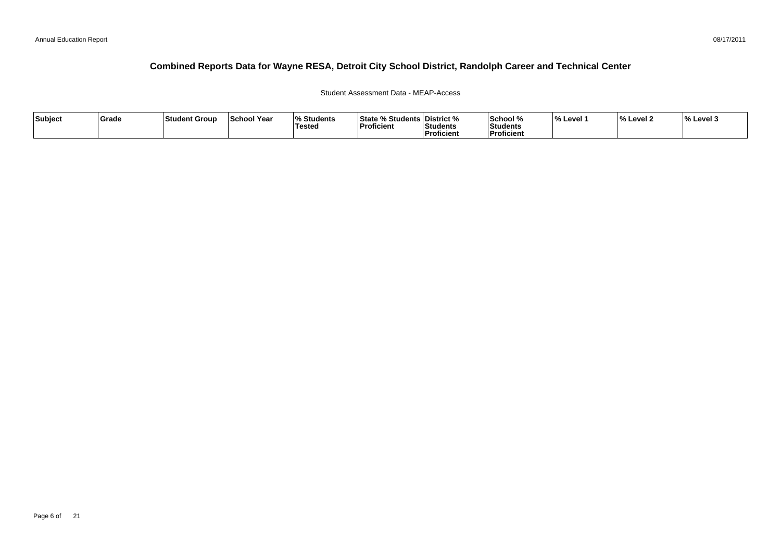Student Assessment Data - MEAP-Access

| Subject | Grade | ⊦Student Grour | <b>School Year</b> | <b>Students</b><br>Tested | <b>Students</b><br>∣State %<br>Proficient | District %<br>، 2۰۱<br>⊦Students<br>Proficient | School %<br>Students<br><b>Proficient</b> | '% Level | <b>Level</b> 2 | Level : |
|---------|-------|----------------|--------------------|---------------------------|-------------------------------------------|------------------------------------------------|-------------------------------------------|----------|----------------|---------|
|---------|-------|----------------|--------------------|---------------------------|-------------------------------------------|------------------------------------------------|-------------------------------------------|----------|----------------|---------|

08/17/2011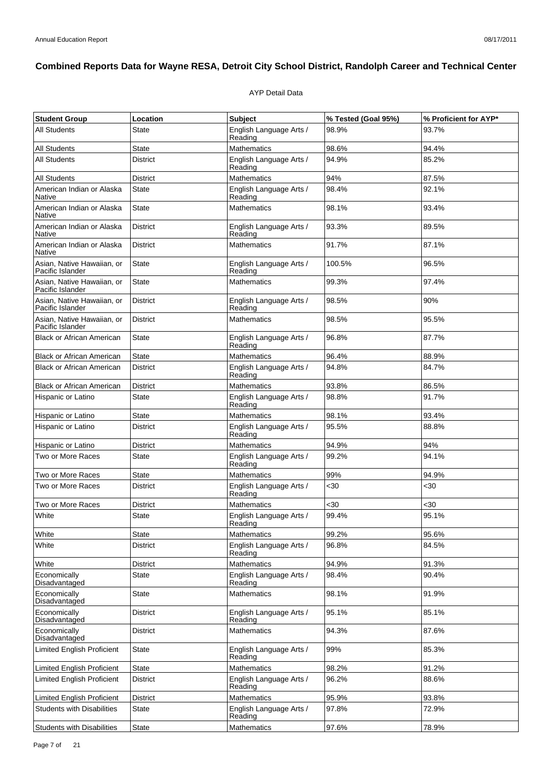#### AYP Detail Data

| <b>Student Group</b>                           | Location        | <b>Subject</b>                     | % Tested (Goal 95%) | % Proficient for AYP* |
|------------------------------------------------|-----------------|------------------------------------|---------------------|-----------------------|
| <b>All Students</b>                            | State           | English Language Arts /<br>Reading | 98.9%               | 93.7%                 |
| <b>All Students</b>                            | State           | <b>Mathematics</b>                 | 98.6%               | 94.4%                 |
| <b>All Students</b>                            | <b>District</b> | English Language Arts /<br>Reading | 94.9%               | 85.2%                 |
| <b>All Students</b>                            | District        | Mathematics                        | 94%                 | 87.5%                 |
| American Indian or Alaska<br><b>Native</b>     | <b>State</b>    | English Language Arts /<br>Reading | 98.4%               | 92.1%                 |
| American Indian or Alaska<br>Native            | State           | <b>Mathematics</b>                 | 98.1%               | 93.4%                 |
| American Indian or Alaska<br>Native            | <b>District</b> | English Language Arts /<br>Reading | 93.3%               | 89.5%                 |
| American Indian or Alaska<br><b>Native</b>     | <b>District</b> | <b>Mathematics</b>                 | 91.7%               | 87.1%                 |
| Asian, Native Hawaiian, or<br>Pacific Islander | State           | English Language Arts /<br>Reading | 100.5%              | 96.5%                 |
| Asian, Native Hawaiian, or<br>Pacific Islander | <b>State</b>    | <b>Mathematics</b>                 | 99.3%               | 97.4%                 |
| Asian, Native Hawaiian, or<br>Pacific Islander | District        | English Language Arts /<br>Reading | 98.5%               | 90%                   |
| Asian, Native Hawaiian, or<br>Pacific Islander | <b>District</b> | <b>Mathematics</b>                 | 98.5%               | 95.5%                 |
| <b>Black or African American</b>               | State           | English Language Arts /<br>Reading | 96.8%               | 87.7%                 |
| <b>Black or African American</b>               | <b>State</b>    | <b>Mathematics</b>                 | 96.4%               | 88.9%                 |
| <b>Black or African American</b>               | <b>District</b> | English Language Arts /<br>Reading | 94.8%               | 84.7%                 |
| <b>Black or African American</b>               | District        | <b>Mathematics</b>                 | 93.8%               | 86.5%                 |
| Hispanic or Latino                             | State           | English Language Arts /<br>Reading | 98.8%               | 91.7%                 |
| Hispanic or Latino                             | <b>State</b>    | <b>Mathematics</b>                 | 98.1%               | 93.4%                 |
| Hispanic or Latino                             | <b>District</b> | English Language Arts /<br>Reading | 95.5%               | 88.8%                 |
| Hispanic or Latino                             | <b>District</b> | <b>Mathematics</b>                 | 94.9%               | 94%                   |
| Two or More Races                              | State           | English Language Arts /<br>Reading | 99.2%               | 94.1%                 |
| Two or More Races                              | <b>State</b>    | <b>Mathematics</b>                 | 99%                 | 94.9%                 |
| Two or More Races                              | <b>District</b> | English Language Arts /<br>Reading | <30                 | <30                   |
| Two or More Races                              | District        | <b>Mathematics</b>                 | $30$                | $30$                  |
| White                                          | State           | English Language Arts /<br>Reading | 99.4%               | 95.1%                 |
| White                                          | <b>State</b>    | <b>Mathematics</b>                 | 99.2%               | 95.6%                 |
| White                                          | District        | English Language Arts /<br>Reading | 96.8%               | 84.5%                 |
| White                                          | <b>District</b> | Mathematics                        | 94.9%               | 91.3%                 |
| Economically<br>Disadvantaged                  | State           | English Language Arts /<br>Reading | 98.4%               | 90.4%                 |
| Economically<br>Disadvantaged                  | <b>State</b>    | <b>Mathematics</b>                 | 98.1%               | 91.9%                 |
| Economically<br>Disadvantaged                  | District        | English Language Arts /<br>Reading | 95.1%               | 85.1%                 |
| Economically<br>Disadvantaged                  | District        | <b>Mathematics</b>                 | 94.3%               | 87.6%                 |
| <b>Limited English Proficient</b>              | <b>State</b>    | English Language Arts /<br>Reading | 99%                 | 85.3%                 |
| <b>Limited English Proficient</b>              | <b>State</b>    | <b>Mathematics</b>                 | 98.2%               | 91.2%                 |
| <b>Limited English Proficient</b>              | District        | English Language Arts /<br>Reading | 96.2%               | 88.6%                 |
| <b>Limited English Proficient</b>              | District        | Mathematics                        | 95.9%               | 93.8%                 |
| <b>Students with Disabilities</b>              | State           | English Language Arts /<br>Reading | 97.8%               | 72.9%                 |
| <b>Students with Disabilities</b>              | <b>State</b>    | Mathematics                        | 97.6%               | 78.9%                 |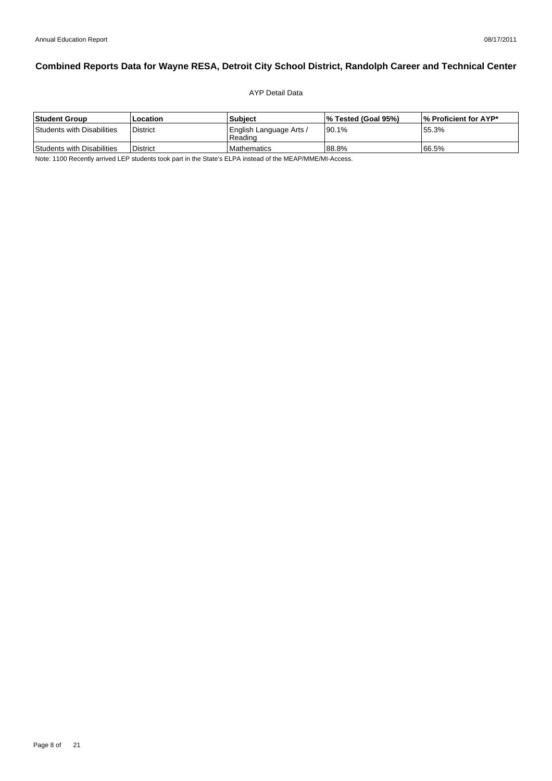#### AYP Detail Data

| Student Group              | Location        | <b>Subiect</b>                       | 1% Tested (Goal 95%) | 1% Proficient for AYP* |
|----------------------------|-----------------|--------------------------------------|----------------------|------------------------|
| Students with Disabilities | <b>District</b> | English Language Arts /<br>l Reading | 190.1%               | 55.3%                  |
| Students with Disabilities | <b>District</b> | <b>I</b> Mathematics                 | 88.8%                | 166.5%                 |

Note: 1100 Recently arrived LEP students took part in the State's ELPA instead of the MEAP/MME/MI-Access.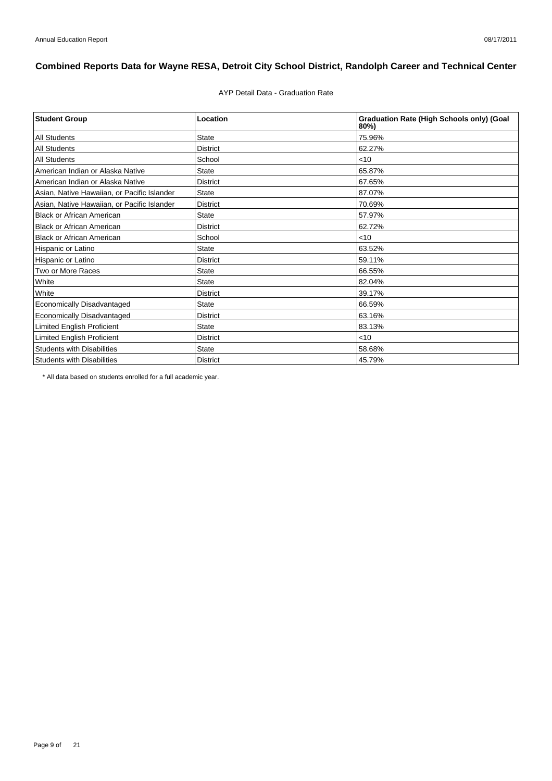AYP Detail Data - Graduation Rate

| <b>Student Group</b>                        | Location        | <b>Graduation Rate (High Schools only) (Goal</b><br>$80\%$ |
|---------------------------------------------|-----------------|------------------------------------------------------------|
| <b>All Students</b>                         | <b>State</b>    | 75.96%                                                     |
| <b>All Students</b>                         | <b>District</b> | 62.27%                                                     |
| <b>All Students</b>                         | School          | $<$ 10                                                     |
| American Indian or Alaska Native            | <b>State</b>    | 65.87%                                                     |
| American Indian or Alaska Native            | <b>District</b> | 67.65%                                                     |
| Asian, Native Hawaiian, or Pacific Islander | <b>State</b>    | 87.07%                                                     |
| Asian, Native Hawaiian, or Pacific Islander | <b>District</b> | 70.69%                                                     |
| <b>Black or African American</b>            | <b>State</b>    | 57.97%                                                     |
| <b>Black or African American</b>            | <b>District</b> | 62.72%                                                     |
| <b>Black or African American</b>            | School          | < 10                                                       |
| Hispanic or Latino                          | <b>State</b>    | 63.52%                                                     |
| Hispanic or Latino                          | <b>District</b> | 59.11%                                                     |
| Two or More Races                           | <b>State</b>    | 66.55%                                                     |
| White                                       | <b>State</b>    | 82.04%                                                     |
| White                                       | <b>District</b> | 39.17%                                                     |
| Economically Disadvantaged                  | <b>State</b>    | 66.59%                                                     |
| Economically Disadvantaged                  | <b>District</b> | 63.16%                                                     |
| <b>Limited English Proficient</b>           | <b>State</b>    | 83.13%                                                     |
| <b>Limited English Proficient</b>           | <b>District</b> | < 10                                                       |
| <b>Students with Disabilities</b>           | <b>State</b>    | 58.68%                                                     |
| <b>Students with Disabilities</b>           | <b>District</b> | 45.79%                                                     |

\* All data based on students enrolled for a full academic year.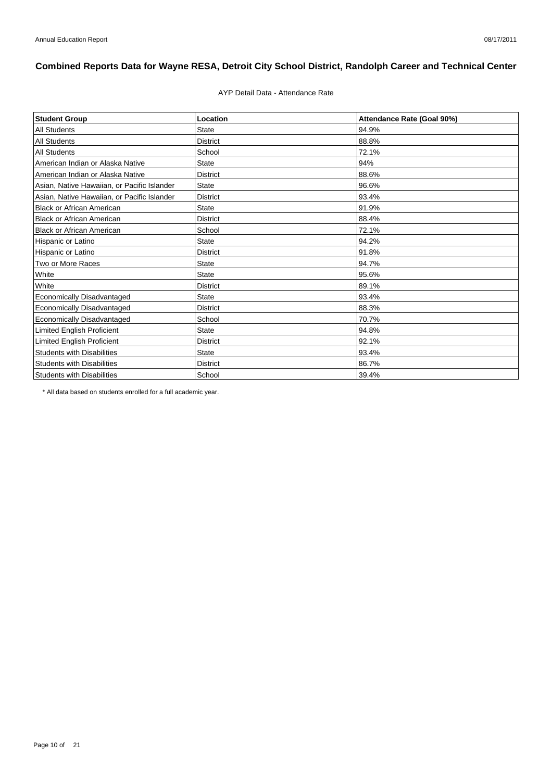#### AYP Detail Data - Attendance Rate

| <b>Student Group</b>                        | Location        | Attendance Rate (Goal 90%) |
|---------------------------------------------|-----------------|----------------------------|
| <b>All Students</b>                         | <b>State</b>    | 94.9%                      |
| <b>All Students</b>                         | <b>District</b> | 88.8%                      |
| <b>All Students</b>                         | School          | 72.1%                      |
| American Indian or Alaska Native            | <b>State</b>    | 94%                        |
| American Indian or Alaska Native            | <b>District</b> | 88.6%                      |
| Asian, Native Hawaiian, or Pacific Islander | <b>State</b>    | 96.6%                      |
| Asian, Native Hawaiian, or Pacific Islander | <b>District</b> | 93.4%                      |
| <b>Black or African American</b>            | <b>State</b>    | 91.9%                      |
| <b>Black or African American</b>            | <b>District</b> | 88.4%                      |
| <b>Black or African American</b>            | School          | 72.1%                      |
| Hispanic or Latino                          | <b>State</b>    | 94.2%                      |
| Hispanic or Latino                          | <b>District</b> | 91.8%                      |
| Two or More Races                           | <b>State</b>    | 94.7%                      |
| White                                       | <b>State</b>    | 95.6%                      |
| White                                       | <b>District</b> | 89.1%                      |
| Economically Disadvantaged                  | <b>State</b>    | 93.4%                      |
| <b>Economically Disadvantaged</b>           | <b>District</b> | 88.3%                      |
| Economically Disadvantaged                  | School          | 70.7%                      |
| <b>Limited English Proficient</b>           | <b>State</b>    | 94.8%                      |
| <b>Limited English Proficient</b>           | <b>District</b> | 92.1%                      |
| <b>Students with Disabilities</b>           | <b>State</b>    | 93.4%                      |
| <b>Students with Disabilities</b>           | <b>District</b> | 86.7%                      |
| <b>Students with Disabilities</b>           | School          | 39.4%                      |

\* All data based on students enrolled for a full academic year.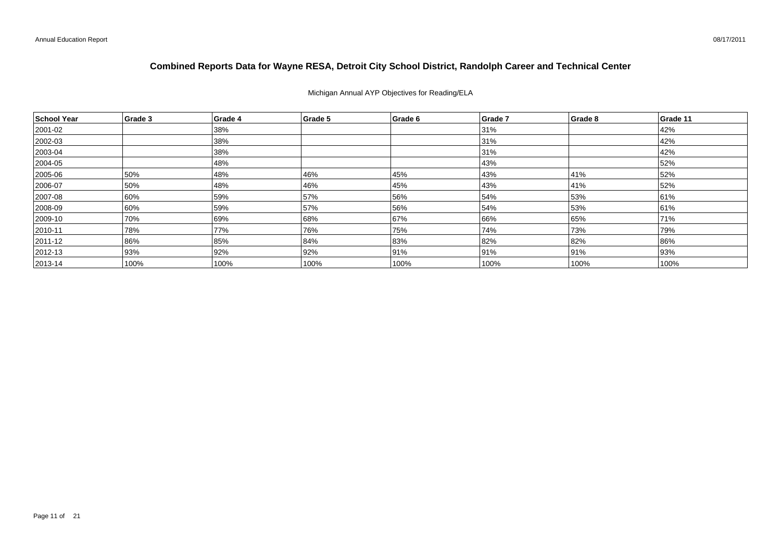#### Michigan Annual AYP Objectives for Reading/ELA

| School Year   | Grade 3 | Grade 4 | Grade 5 | Grade 6 | Grade 7 | Grade 8 | Grade 11 |
|---------------|---------|---------|---------|---------|---------|---------|----------|
| 2001-02       |         | 38%     |         |         | 31%     |         | 42%      |
| 2002-03       |         | 38%     |         |         | 31%     |         | 42%      |
| $ 2003 - 04$  |         | 38%     |         |         | 31%     |         | 42%      |
| $ 2004 - 05 $ |         | 48%     |         |         | 43%     |         | 52%      |
| 2005-06       | 50%     | 48%     | 46%     | 45%     | 43%     | 41%     | 52%      |
| 2006-07       | 50%     | 48%     | 46%     | 45%     | 43%     | 41%     | 52%      |
| 2007-08       | 60%     | 59%     | 57%     | 56%     | 54%     | 53%     | 61%      |
| 2008-09       | 60%     | 59%     | 57%     | 56%     | 54%     | 53%     | 61%      |
| 2009-10       | 70%     | 69%     | 68%     | 67%     | 66%     | 65%     | 71%      |
| $ 2010 - 11$  | 78%     | 77%     | 76%     | 75%     | 74%     | 73%     | 79%      |
| $ 2011 - 12 $ | 86%     | 85%     | 84%     | 83%     | 82%     | 82%     | 86%      |
| $ 2012 - 13 $ | 93%     | 92%     | 92%     | 91%     | 91%     | 91%     | 93%      |
| $ 2013 - 14 $ | 100%    | 100%    | 100%    | 100%    | 100%    | 100%    | 100%     |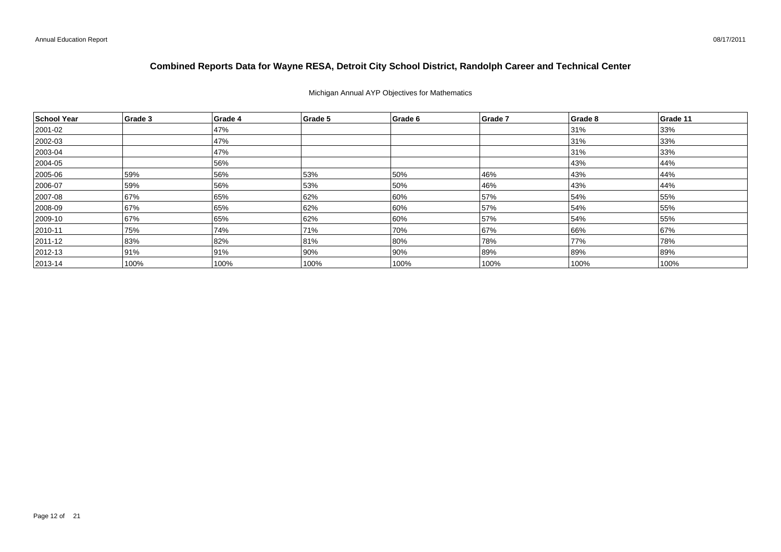#### Michigan Annual AYP Objectives for Mathematics

| School Year   | Grade 3 | Grade 4 | Grade 5 | Grade 6 | Grade 7 | Grade 8 | Grade 11 |
|---------------|---------|---------|---------|---------|---------|---------|----------|
| 2001-02       |         | 47%     |         |         |         | 31%     | 33%      |
| 2002-03       |         | 47%     |         |         |         | 31%     | 33%      |
| $ 2003 - 04$  |         | 47%     |         |         |         | 31%     | 33%      |
| 2004-05       |         | 56%     |         |         |         | 43%     | 44%      |
| $ 2005 - 06$  | 59%     | 56%     | 53%     | 50%     | 46%     | 43%     | 44%      |
| 2006-07       | 59%     | 56%     | 53%     | 50%     | 46%     | 43%     | 44%      |
| 2007-08       | 67%     | 65%     | 62%     | 60%     | 57%     | 54%     | 55%      |
| 2008-09       | 67%     | 65%     | 62%     | 60%     | 57%     | 54%     | 55%      |
| 2009-10       | 67%     | 65%     | 62%     | 60%     | 57%     | 54%     | 55%      |
| $ 2010 - 11$  | 75%     | 74%     | 71%     | 70%     | 67%     | 66%     | 67%      |
| 2011-12       | 83%     | 82%     | 81%     | 80%     | 78%     | 77%     | 78%      |
| $ 2012 - 13$  | 91%     | 91%     | 90%     | 90%     | 89%     | 89%     | 89%      |
| $ 2013 - 14 $ | 100%    | 100%    | 100%    | 100%    | 100%    | 100%    | 100%     |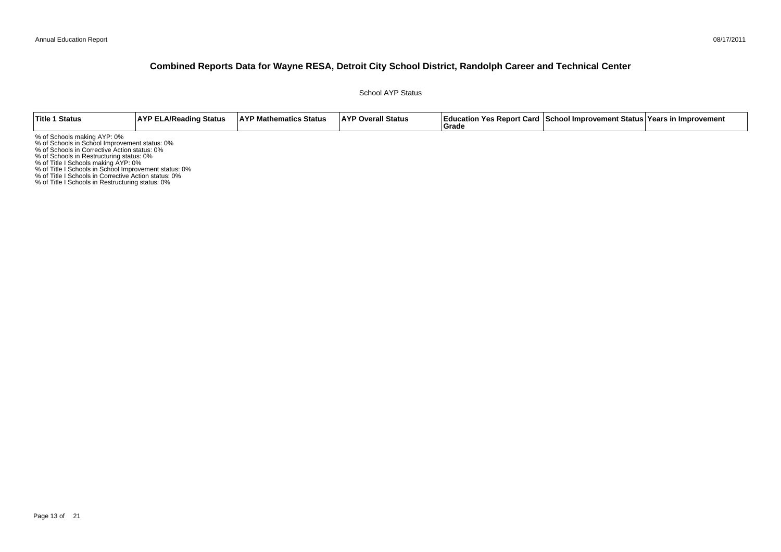School AYP Status

| Title 1 Status                                                                                                                                                                                                                                                                                                                                                                       | <b>AYP ELA/Reading Status</b> | <b>AYP Mathematics Status</b> | <b>AYP Overall Status</b> | Grade | <b>Education Yes Report Card School Improvement Status Years in Improvement</b> |  |
|--------------------------------------------------------------------------------------------------------------------------------------------------------------------------------------------------------------------------------------------------------------------------------------------------------------------------------------------------------------------------------------|-------------------------------|-------------------------------|---------------------------|-------|---------------------------------------------------------------------------------|--|
| % of Schools making AYP: 0%<br>% of Schools in School Improvement status: 0%<br>% of Schools in Corrective Action status: 0%<br>% of Schools in Restructuring status: 0%<br>% of Title I Schools making AYP: 0%<br>% of Title I Schools in School Improvement status: 0%<br>% of Title I Schools in Corrective Action status: 0%<br>% of Title I Schools in Restructuring status: 0% |                               |                               |                           |       |                                                                                 |  |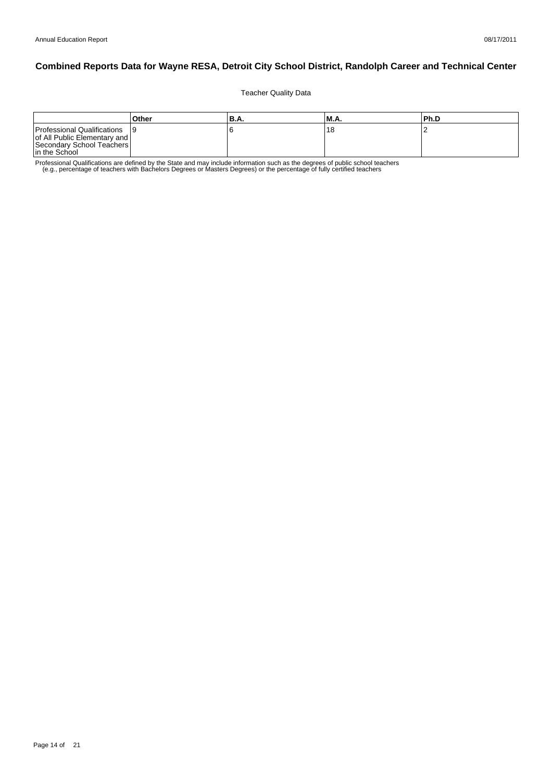Teacher Quality Data

|                                                                                                             | Other | 'B.A. | IM.A. | lPh.D |
|-------------------------------------------------------------------------------------------------------------|-------|-------|-------|-------|
| Professional Qualifications<br>of All Public Elementary and  <br>Secondary School Teachers<br>In the School |       |       | 18    |       |

Professional Qualifications are defined by the State and may include information such as the degrees of public school teachers<br>e.g., percentage of teachers with Bachelors Degrees or Masters Degrees) or the percentage of fu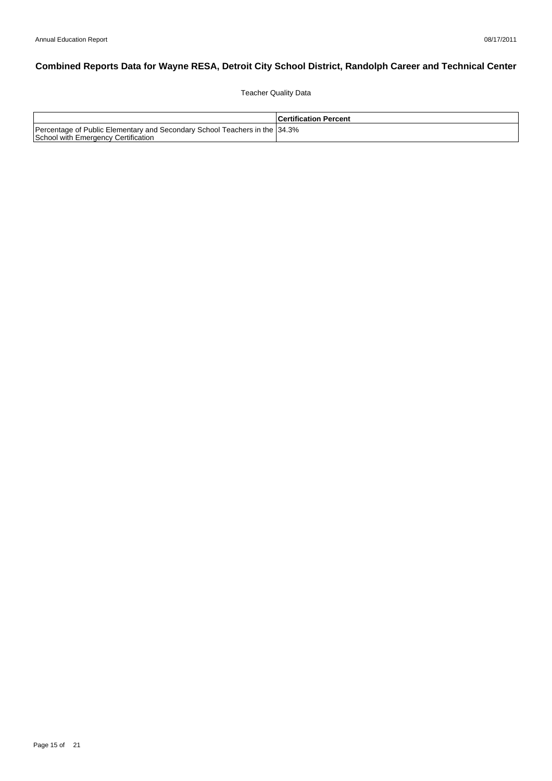Teacher Quality Data

|                                                                                                                    | <b>Certification Percent</b> |
|--------------------------------------------------------------------------------------------------------------------|------------------------------|
| Percentage of Public Elementary and Secondary School Teachers in the 134.3%<br>School with Emergency Certification |                              |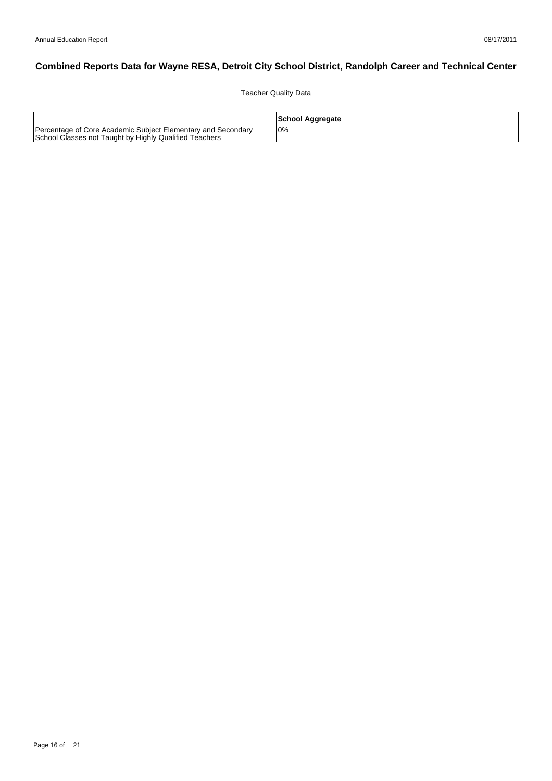Teacher Quality Data

|                                                                                                                        | School Aggregate |
|------------------------------------------------------------------------------------------------------------------------|------------------|
| Percentage of Core Academic Subject Elementary and Secondary<br>School Classes not Taught by Highly Qualified Teachers | $0\%$            |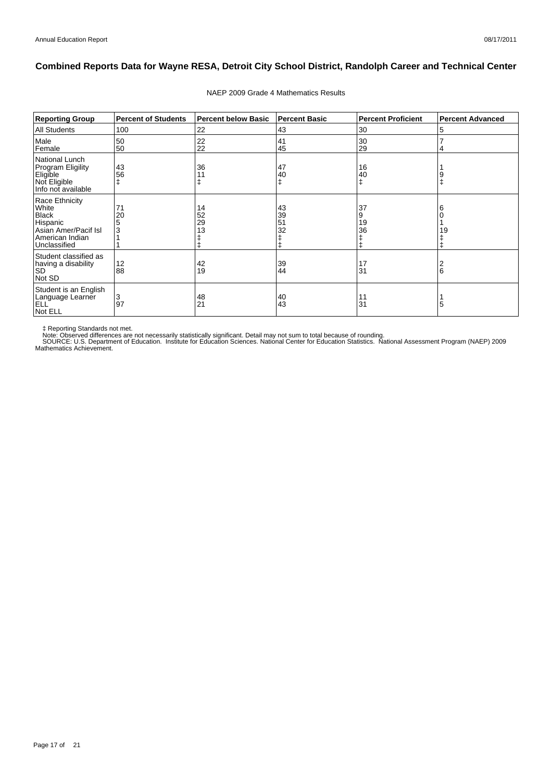| <b>Reporting Group</b>                                                                                         | <b>Percent of Students</b> | <b>Percent below Basic</b> | <b>Percent Basic</b> | <b>Percent Proficient</b> | <b>Percent Advanced</b> |
|----------------------------------------------------------------------------------------------------------------|----------------------------|----------------------------|----------------------|---------------------------|-------------------------|
| <b>All Students</b>                                                                                            | 100                        | 22                         | 43                   | 30                        | 5                       |
| Male<br>Female                                                                                                 | 50<br>50                   | 22<br>22                   | 41<br>45             | 30<br>29                  |                         |
| National Lunch<br>Program Eligility<br>∣Eligi̇̃ble<br>Not Eligible<br>Info not available                       | 43<br>56                   | 36                         | 47<br>40             | 16<br>40                  | 9<br>ŧ                  |
| Race Ethnicity<br>White<br><b>Black</b><br>Hispanic<br>Asian Amer/Pacif Isl<br>American Indian<br>Unclassified | 71<br>20<br>5<br>3         | 14<br>52<br>29<br>13       | 43<br>39<br>51<br>32 | 37<br>9<br>19<br>36<br>ŧ  | 6<br>19                 |
| Student classified as<br>having a disability<br><b>SD</b><br>Not SD                                            | 12<br>88                   | 42<br>19                   | 39<br>44             | 17<br>31                  | $\frac{2}{6}$           |
| Student is an English<br>Language Learner<br>ELL<br>Not ELL                                                    | 3<br>97                    | 48<br>21                   | 40<br>43             | 11<br>31                  | 5                       |

#### NAEP 2009 Grade 4 Mathematics Results

‡ Reporting Standards not met.<br>Note: Observed differences are not necessarily statistically significant. Detail may not sum to total because of rounding.<br>SOURCE: U.S. Department of Education. Institute for Education Scien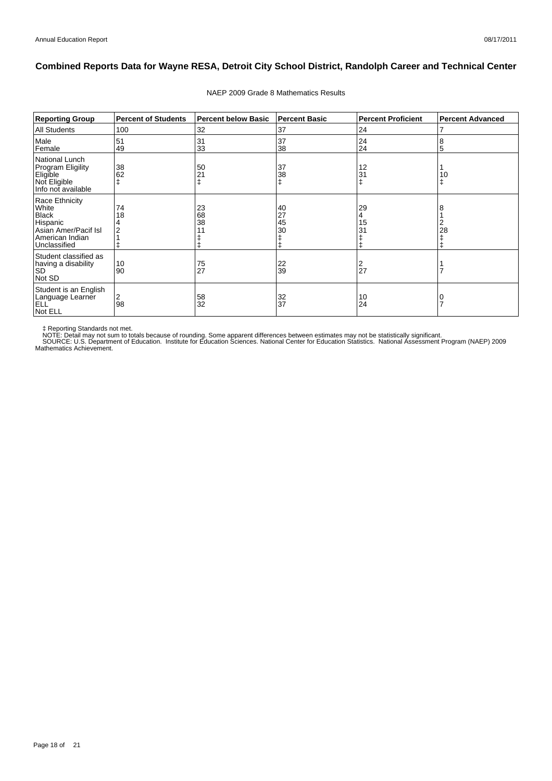| <b>Reporting Group</b>                                                                                         | <b>Percent of Students</b> | <b>Percent below Basic</b> | <b>Percent Basic</b> | <b>Percent Proficient</b> | <b>Percent Advanced</b> |
|----------------------------------------------------------------------------------------------------------------|----------------------------|----------------------------|----------------------|---------------------------|-------------------------|
| <b>All Students</b>                                                                                            | 100                        | 32                         | 37                   | 24                        | 7                       |
| Male<br>Female                                                                                                 | 51<br>49                   | 31<br>33                   | 37<br>38             | 24<br>24                  | 8<br>5                  |
| National Lunch<br><b>Program Eligility</b><br>Eligible<br>Not Eligible<br>Info not available                   | 38<br>62                   | 50<br>21                   | 37<br>38<br>ŧ        | 12<br>31                  | 10<br>ŧ                 |
| Race Ethnicity<br>White<br><b>Black</b><br>Hispanic<br>Asian Amer/Pacif Isl<br>American Indian<br>Unclassified | 74<br>18                   | 23<br>68<br>38             | 40<br>27<br>45<br>30 | 29<br>15<br>31<br>⇟       | 8<br>28                 |
| Student classified as<br>having a disability<br><b>SD</b><br>Not SD                                            | 10<br>90                   | 75<br>27                   | 22<br>39             | 2<br>27                   |                         |
| Student is an English<br>Language Learner<br>ELL<br>Not ELL                                                    | 2<br>98                    | 58<br>32                   | 32<br>37             | 10<br>24                  | 0<br>$\overline{7}$     |

#### NAEP 2009 Grade 8 Mathematics Results

‡ Reporting Standards not met.<br>NOTE: Detail may not sum to totals because of rounding. Some apparent differences between estimates may not be statistically significant.<br>NOTE: Detail may not sum to totals because of roundin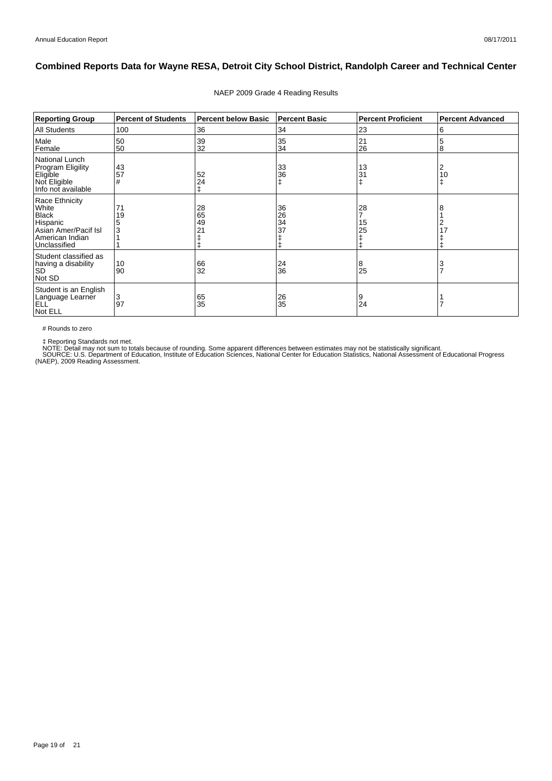| <b>Reporting Group</b>                                                                                         | <b>Percent of Students</b> | <b>Percent below Basic</b> | <b>Percent Basic</b> | <b>Percent Proficient</b> | <b>Percent Advanced</b> |
|----------------------------------------------------------------------------------------------------------------|----------------------------|----------------------------|----------------------|---------------------------|-------------------------|
| <b>All Students</b>                                                                                            | 100                        | 36                         | 34                   | 23                        | 6                       |
| Male<br>Female                                                                                                 | 50<br>50                   | 39<br>32                   | 35<br>34             | 21<br>26                  | 5<br>8                  |
| National Lunch<br><b>Program Eligility</b><br>Eligible<br>Not Eligible<br>Info not available                   | 43<br>57<br>#              | 52<br>24<br>ŧ              | 33<br>36<br>ŧ        | 13<br>31                  | 2<br>10<br>ŧ            |
| Race Ethnicity<br>White<br><b>Black</b><br>Hispanic<br>Asian Amer/Pacif Isl<br>American Indian<br>Unclassified | 71<br>19<br>3              | 28<br>65<br>49<br>21       | 36<br>26<br>34<br>37 | 28<br>15<br>25<br>ŧ       | 8                       |
| Student classified as<br>having a disability<br><b>SD</b><br>Not SD                                            | 10<br>90                   | 66<br>32                   | 24<br>36             | 8<br>25                   | $\frac{3}{7}$           |
| Student is an English<br>Language Learner<br><b>ELL</b><br>Not ELL                                             | 3<br>97                    | 65<br>35                   | 26<br>35             | 9<br>24                   |                         |

#### NAEP 2009 Grade 4 Reading Results

# Rounds to zero

‡ Reporting Standards not met.<br>NOTE: Detail may not sum to totals because of rounding. Some apparent differences between estimates may not be statistically significant.<br>SOURCE: U.S. Department of Education, Institute of Ed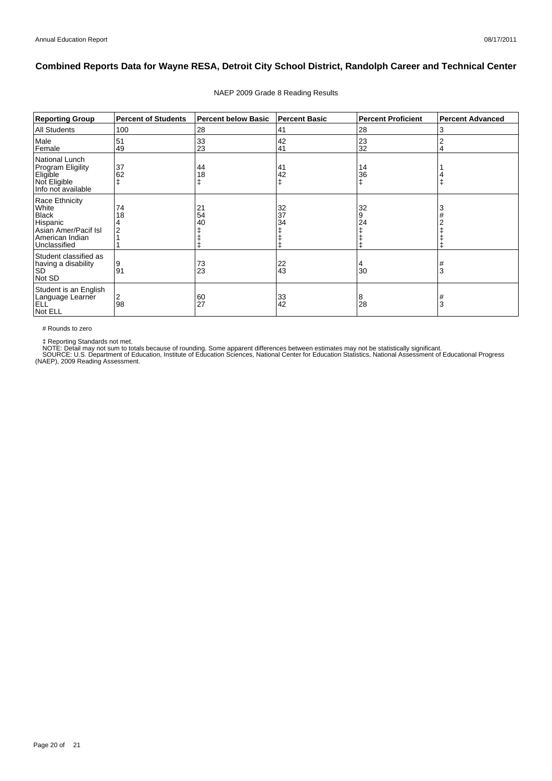| <b>Reporting Group</b>                                                                                         | <b>Percent of Students</b> | <b>Percent below Basic</b> | <b>Percent Basic</b> | <b>Percent Proficient</b> | <b>Percent Advanced</b> |
|----------------------------------------------------------------------------------------------------------------|----------------------------|----------------------------|----------------------|---------------------------|-------------------------|
| <b>All Students</b>                                                                                            | 100                        | 28                         | 41                   | 28                        | 3                       |
| Male<br>Female                                                                                                 | 51<br>49                   | 33<br>23                   | 42<br>41             | 23<br>32                  | 2<br>4                  |
| National Lunch<br><b>Program Eligility</b><br>Eligible<br>Not Eligible<br>Info not available                   | 37<br>62                   | 44<br>18                   | 41<br>42<br>ŧ        | 14<br>36                  | ∓                       |
| Race Ethnicity<br>White<br><b>Black</b><br>Hispanic<br>Asian Amer/Pacif Isl<br>American Indian<br>Unclassified | 74<br>18                   | 21<br>54<br>40             | 32<br>37<br>34       | 32<br>9<br>24             | 3                       |
| Student classified as<br>having a disability<br><b>SD</b><br>Not SD                                            | Ι9<br>91                   | 73<br>23                   | 22<br>43             | 4<br>30                   | #<br>3                  |
| Student is an English<br>Language Learner<br>ELL<br>Not ELL                                                    | 2<br>98                    | $\frac{60}{27}$            | 33<br>42             | 8<br>28                   | #<br>3                  |

#### NAEP 2009 Grade 8 Reading Results

# Rounds to zero

‡ Reporting Standards not met.<br>NOTE: Detail may not sum to totals because of rounding. Some apparent differences between estimates may not be statistically significant.<br>SOURCE: U.S. Department of Education, Institute of Ed